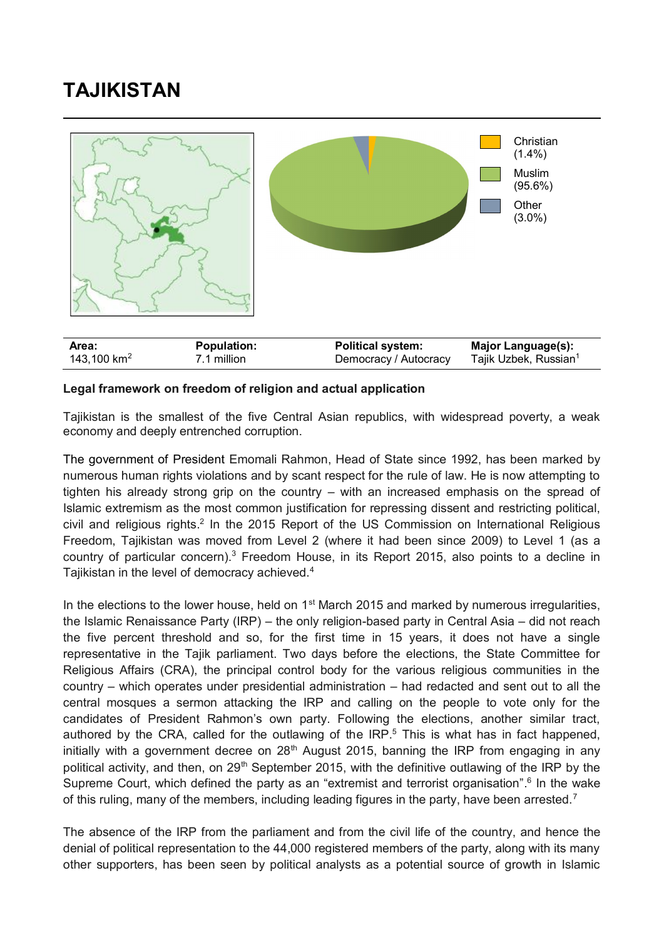# **TAJIKISTAN**



# **Legal framework on freedom of religion and actual application**

Tajikistan is the smallest of the five Central Asian republics, with widespread poverty, a weak economy and deeply entrenched corruption.

The government of President Emomali Rahmon, Head of State since 1992, has been marked by numerous human rights violations and by scant respect for the rule of law. He is now attempting to tighten his already strong grip on the country – with an increased emphasis on the spread of Islamic extremism as the most common justification for repressing dissent and restricting political, civil and religious rights.<sup>2</sup> In the 2015 Report of the US Commission on International Religious Freedom, Tajikistan was moved from Level 2 (where it had been since 2009) to Level 1 (as a country of particular concern).<sup>3</sup> Freedom House, in its Report 2015, also points to a decline in Tajikistan in the level of democracy achieved.<sup>4</sup>

In the elections to the lower house, held on 1<sup>st</sup> March 2015 and marked by numerous irregularities, the Islamic Renaissance Party (IRP) – the only religion-based party in Central Asia – did not reach the five percent threshold and so, for the first time in 15 years, it does not have a single representative in the Tajik parliament. Two days before the elections, the State Committee for Religious Affairs (CRA), the principal control body for the various religious communities in the country – which operates under presidential administration – had redacted and sent out to all the central mosques a sermon attacking the IRP and calling on the people to vote only for the candidates of President Rahmon's own party. Following the elections, another similar tract, authored by the CRA, called for the outlawing of the  $IRP<sub>5</sub>$ . This is what has in fact happened, initially with a government decree on 28<sup>th</sup> August 2015, banning the IRP from engaging in any political activity, and then, on 29<sup>th</sup> September 2015, with the definitive outlawing of the IRP by the Supreme Court, which defined the party as an "extremist and terrorist organisation".<sup>6</sup> In the wake of this ruling, many of the members, including leading figures in the party, have been arrested.<sup>7</sup>

The absence of the IRP from the parliament and from the civil life of the country, and hence the denial of political representation to the 44,000 registered members of the party, along with its many other supporters, has been seen by political analysts as a potential source of growth in Islamic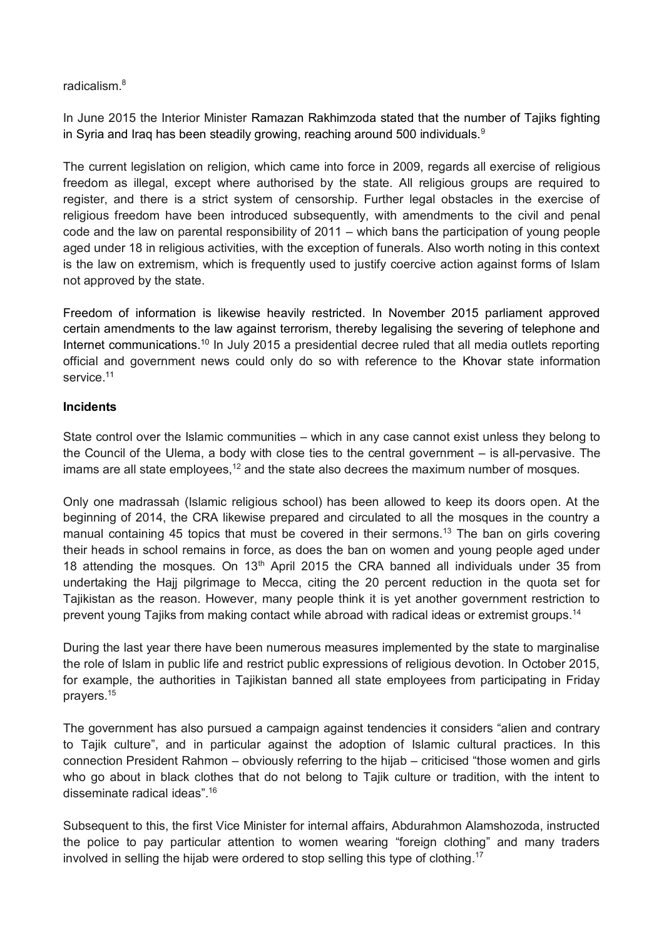# radicalism. 8

In June 2015 the Interior Minister Ramazan Rakhimzoda stated that the number of Tajiks fighting in Syria and Iraq has been steadily growing, reaching around 500 individuals.<sup>9</sup>

The current legislation on religion, which came into force in 2009, regards all exercise of religious freedom as illegal, except where authorised by the state. All religious groups are required to register, and there is a strict system of censorship. Further legal obstacles in the exercise of religious freedom have been introduced subsequently, with amendments to the civil and penal code and the law on parental responsibility of 2011 – which bans the participation of young people aged under 18 in religious activities, with the exception of funerals. Also worth noting in this context is the law on extremism, which is frequently used to justify coercive action against forms of Islam not approved by the state.

Freedom of information is likewise heavily restricted. In November 2015 parliament approved certain amendments to the law against terrorism, thereby legalising the severing of telephone and Internet communications.<sup>10</sup> In July 2015 a presidential decree ruled that all media outlets reporting official and government news could only do so with reference to the Khovar state information service.<sup>11</sup>

# **Incidents**

State control over the Islamic communities – which in any case cannot exist unless they belong to the Council of the Ulema, a body with close ties to the central government – is all-pervasive. The imams are all state employees, $12$  and the state also decrees the maximum number of mosques.

Only one madrassah (Islamic religious school) has been allowed to keep its doors open. At the beginning of 2014, the CRA likewise prepared and circulated to all the mosques in the country a manual containing 45 topics that must be covered in their sermons.<sup>13</sup> The ban on girls covering their heads in school remains in force, as does the ban on women and young people aged under 18 attending the mosques. On  $13<sup>th</sup>$  April 2015 the CRA banned all individuals under 35 from undertaking the Hajj pilgrimage to Mecca, citing the 20 percent reduction in the quota set for Tajikistan as the reason. However, many people think it is yet another government restriction to prevent young Tajiks from making contact while abroad with radical ideas or extremist groups.<sup>14</sup>

During the last year there have been numerous measures implemented by the state to marginalise the role of Islam in public life and restrict public expressions of religious devotion. In October 2015, for example, the authorities in Tajikistan banned all state employees from participating in Friday prayers.<sup>15</sup>

The government has also pursued a campaign against tendencies it considers "alien and contrary to Tajik culture", and in particular against the adoption of Islamic cultural practices. In this connection President Rahmon – obviously referring to the hijab – criticised "those women and girls who go about in black clothes that do not belong to Tajik culture or tradition, with the intent to disseminate radical ideas". 16

Subsequent to this, the first Vice Minister for internal affairs, Abdurahmon Alamshozoda, instructed the police to pay particular attention to women wearing "foreign clothing" and many traders involved in selling the hijab were ordered to stop selling this type of clothing. 17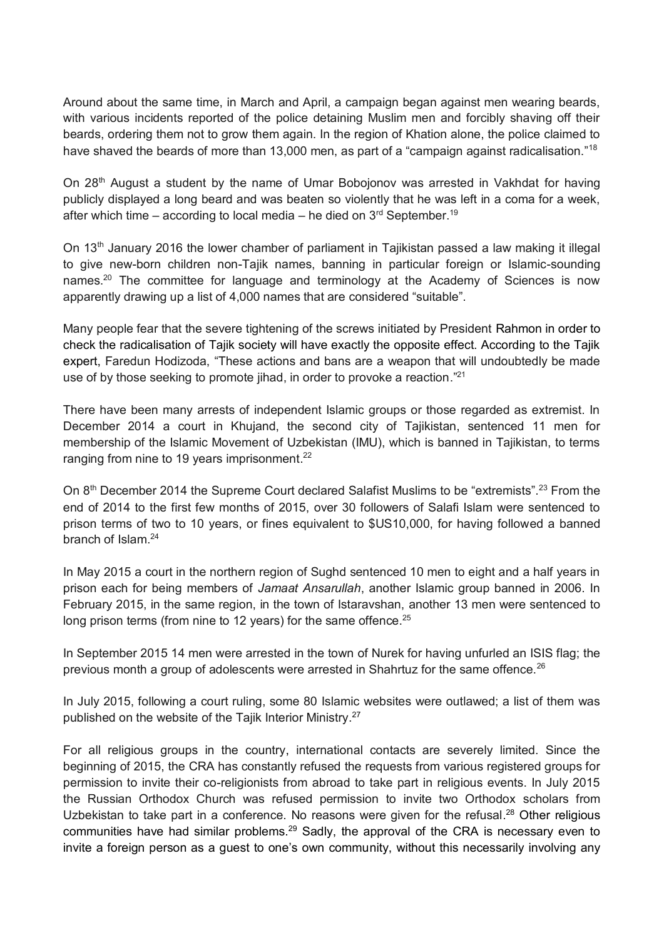Around about the same time, in March and April, a campaign began against men wearing beards, with various incidents reported of the police detaining Muslim men and forcibly shaving off their beards, ordering them not to grow them again. In the region of Khation alone, the police claimed to have shaved the beards of more than 13,000 men, as part of a "campaign against radicalisation."<sup>18</sup>

On 28th August a student by the name of Umar Bobojonov was arrested in Vakhdat for having publicly displayed a long beard and was beaten so violently that he was left in a coma for a week, after which time – according to local media – he died on  $3<sup>rd</sup>$  September.<sup>19</sup>

On 13<sup>th</sup> January 2016 the lower chamber of parliament in Tajikistan passed a law making it illegal to give new-born children non-Tajik names, banning in particular foreign or Islamic-sounding names.<sup>20</sup> The committee for language and terminology at the Academy of Sciences is now apparently drawing up a list of 4,000 names that are considered "suitable".

Many people fear that the severe tightening of the screws initiated by President Rahmon in order to check the radicalisation of Tajik society will have exactly the opposite effect. According to the Tajik expert, Faredun Hodizoda, "These actions and bans are a weapon that will undoubtedly be made use of by those seeking to promote jihad, in order to provoke a reaction."<sup>21</sup>

There have been many arrests of independent Islamic groups or those regarded as extremist. In December 2014 a court in Khujand, the second city of Tajikistan, sentenced 11 men for membership of the Islamic Movement of Uzbekistan (IMU), which is banned in Tajikistan, to terms ranging from nine to 19 years imprisonment.<sup>22</sup>

On 8<sup>th</sup> December 2014 the Supreme Court declared Salafist Muslims to be "extremists".<sup>23</sup> From the end of 2014 to the first few months of 2015, over 30 followers of Salafi Islam were sentenced to prison terms of two to 10 years, or fines equivalent to \$US10,000, for having followed a banned branch of Islam.<sup>24</sup>

In May 2015 a court in the northern region of Sughd sentenced 10 men to eight and a half years in prison each for being members of *Jamaat Ansarullah*, another Islamic group banned in 2006. In February 2015, in the same region, in the town of Istaravshan, another 13 men were sentenced to long prison terms (from nine to 12 years) for the same offence.<sup>25</sup>

In September 2015 14 men were arrested in the town of Nurek for having unfurled an ISIS flag; the previous month a group of adolescents were arrested in Shahrtuz for the same offence. $^{26}$ 

In July 2015, following a court ruling, some 80 Islamic websites were outlawed; a list of them was published on the website of the Tajik Interior Ministry.<sup>27</sup>

For all religious groups in the country, international contacts are severely limited. Since the beginning of 2015, the CRA has constantly refused the requests from various registered groups for permission to invite their co-religionists from abroad to take part in religious events. In July 2015 the Russian Orthodox Church was refused permission to invite two Orthodox scholars from Uzbekistan to take part in a conference. No reasons were given for the refusal.<sup>28</sup> Other religious communities have had similar problems.<sup>29</sup> Sadly, the approval of the CRA is necessary even to invite a foreign person as a guest to one's own community, without this necessarily involving any